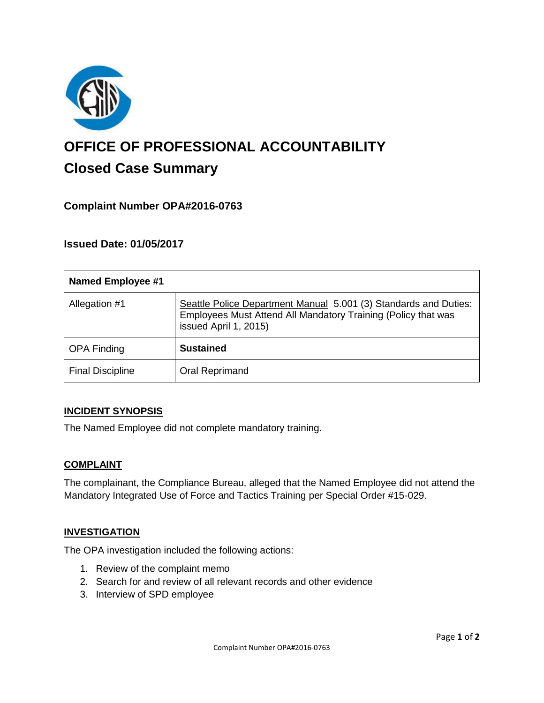

# **OFFICE OF PROFESSIONAL ACCOUNTABILITY Closed Case Summary**

## **Complaint Number OPA#2016-0763**

## **Issued Date: 01/05/2017**

| <b>Named Employee #1</b> |                                                                                                                                                            |
|--------------------------|------------------------------------------------------------------------------------------------------------------------------------------------------------|
| Allegation #1            | Seattle Police Department Manual 5.001 (3) Standards and Duties:<br>Employees Must Attend All Mandatory Training (Policy that was<br>issued April 1, 2015) |
| <b>OPA Finding</b>       | <b>Sustained</b>                                                                                                                                           |
| <b>Final Discipline</b>  | Oral Reprimand                                                                                                                                             |

### **INCIDENT SYNOPSIS**

The Named Employee did not complete mandatory training.

### **COMPLAINT**

The complainant, the Compliance Bureau, alleged that the Named Employee did not attend the Mandatory Integrated Use of Force and Tactics Training per Special Order #15-029.

### **INVESTIGATION**

The OPA investigation included the following actions:

- 1. Review of the complaint memo
- 2. Search for and review of all relevant records and other evidence
- 3. Interview of SPD employee